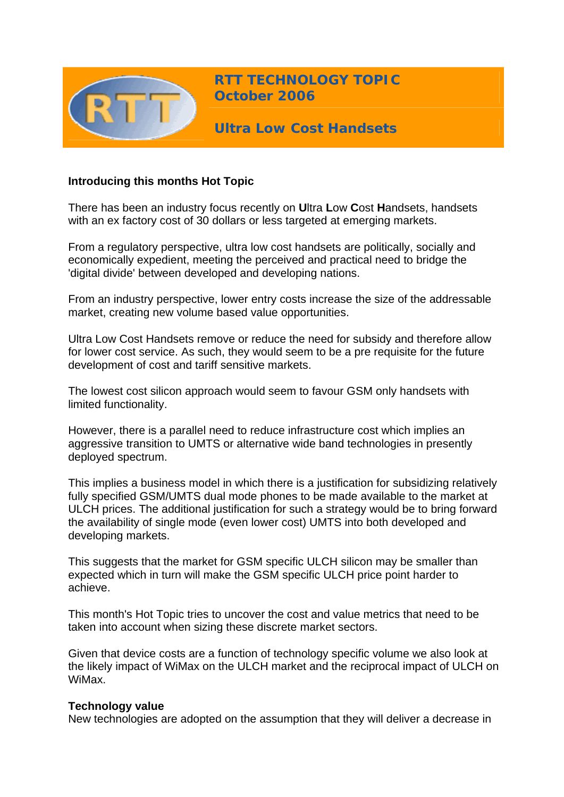

**RTT TECHNOLOGY TOPIC October 2006**

**Ultra Low Cost Handsets** 

# **Introducing this months Hot Topic**

There has been an industry focus recently on **U**ltra **L**ow **C**ost **H**andsets, handsets with an ex factory cost of 30 dollars or less targeted at emerging markets.

From a regulatory perspective, ultra low cost handsets are politically, socially and economically expedient, meeting the perceived and practical need to bridge the 'digital divide' between developed and developing nations.

From an industry perspective, lower entry costs increase the size of the addressable market, creating new volume based value opportunities.

Ultra Low Cost Handsets remove or reduce the need for subsidy and therefore allow for lower cost service. As such, they would seem to be a pre requisite for the future development of cost and tariff sensitive markets.

The lowest cost silicon approach would seem to favour GSM only handsets with limited functionality.

However, there is a parallel need to reduce infrastructure cost which implies an aggressive transition to UMTS or alternative wide band technologies in presently deployed spectrum.

This implies a business model in which there is a justification for subsidizing relatively fully specified GSM/UMTS dual mode phones to be made available to the market at ULCH prices. The additional justification for such a strategy would be to bring forward the availability of single mode (even lower cost) UMTS into both developed and developing markets.

This suggests that the market for GSM specific ULCH silicon may be smaller than expected which in turn will make the GSM specific ULCH price point harder to achieve.

This month's Hot Topic tries to uncover the cost and value metrics that need to be taken into account when sizing these discrete market sectors.

Given that device costs are a function of technology specific volume we also look at the likely impact of WiMax on the ULCH market and the reciprocal impact of ULCH on WiMax.

## **Technology value**

New technologies are adopted on the assumption that they will deliver a decrease in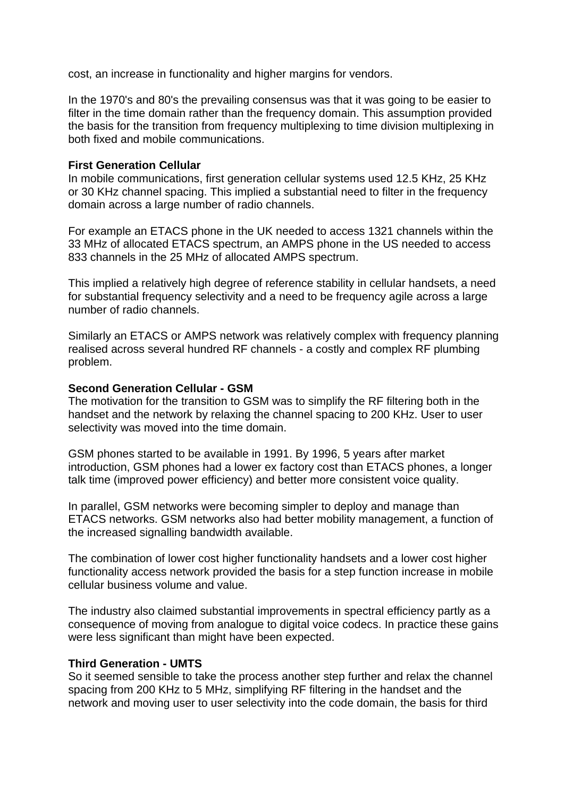cost, an increase in functionality and higher margins for vendors.

In the 1970's and 80's the prevailing consensus was that it was going to be easier to filter in the time domain rather than the frequency domain. This assumption provided the basis for the transition from frequency multiplexing to time division multiplexing in both fixed and mobile communications.

## **First Generation Cellular**

In mobile communications, first generation cellular systems used 12.5 KHz, 25 KHz or 30 KHz channel spacing. This implied a substantial need to filter in the frequency domain across a large number of radio channels.

For example an ETACS phone in the UK needed to access 1321 channels within the 33 MHz of allocated ETACS spectrum, an AMPS phone in the US needed to access 833 channels in the 25 MHz of allocated AMPS spectrum.

This implied a relatively high degree of reference stability in cellular handsets, a need for substantial frequency selectivity and a need to be frequency agile across a large number of radio channels.

Similarly an ETACS or AMPS network was relatively complex with frequency planning realised across several hundred RF channels - a costly and complex RF plumbing problem.

## **Second Generation Cellular - GSM**

The motivation for the transition to GSM was to simplify the RF filtering both in the handset and the network by relaxing the channel spacing to 200 KHz. User to user selectivity was moved into the time domain.

GSM phones started to be available in 1991. By 1996, 5 years after market introduction, GSM phones had a lower ex factory cost than ETACS phones, a longer talk time (improved power efficiency) and better more consistent voice quality.

In parallel, GSM networks were becoming simpler to deploy and manage than ETACS networks. GSM networks also had better mobility management, a function of the increased signalling bandwidth available.

The combination of lower cost higher functionality handsets and a lower cost higher functionality access network provided the basis for a step function increase in mobile cellular business volume and value.

The industry also claimed substantial improvements in spectral efficiency partly as a consequence of moving from analogue to digital voice codecs. In practice these gains were less significant than might have been expected.

## **Third Generation - UMTS**

So it seemed sensible to take the process another step further and relax the channel spacing from 200 KHz to 5 MHz, simplifying RF filtering in the handset and the network and moving user to user selectivity into the code domain, the basis for third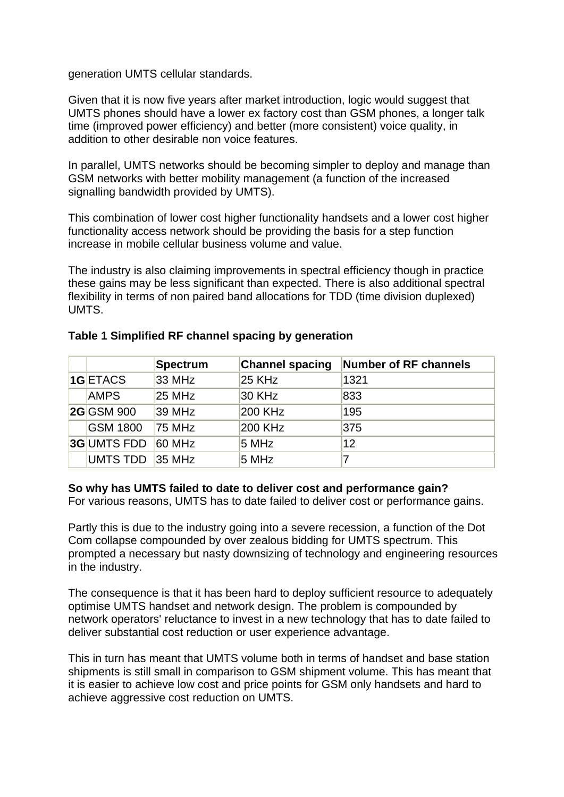generation UMTS cellular standards.

Given that it is now five years after market introduction, logic would suggest that UMTS phones should have a lower ex factory cost than GSM phones, a longer talk time (improved power efficiency) and better (more consistent) voice quality, in addition to other desirable non voice features.

In parallel, UMTS networks should be becoming simpler to deploy and manage than GSM networks with better mobility management (a function of the increased signalling bandwidth provided by UMTS).

This combination of lower cost higher functionality handsets and a lower cost higher functionality access network should be providing the basis for a step function increase in mobile cellular business volume and value.

The industry is also claiming improvements in spectral efficiency though in practice these gains may be less significant than expected. There is also additional spectral flexibility in terms of non paired band allocations for TDD (time division duplexed) UMTS.

|                    | Spectrum      | <b>Channel spacing</b> | <b>Number of RF channels</b> |
|--------------------|---------------|------------------------|------------------------------|
| 1GETACS            | 33 MHz        | 25 KHz                 | 1321                         |
| <b>AMPS</b>        | $25$ MHz      | 30 KHz                 | 833                          |
| <b>2G</b> GSM 900  | 39 MHz        | 200 KHz                | 195                          |
| <b>GSM 1800</b>    | 75 MHz        | 200 KHz                | 375                          |
| <b>3G UMTS FDD</b> | <b>60 MHz</b> | 5 MHz                  | 12                           |
| UMTS TDD           | 35 MHz        | 5 MHz                  |                              |

# **Table 1 Simplified RF channel spacing by generation**

# **So why has UMTS failed to date to deliver cost and performance gain?**

For various reasons, UMTS has to date failed to deliver cost or performance gains.

Partly this is due to the industry going into a severe recession, a function of the Dot Com collapse compounded by over zealous bidding for UMTS spectrum. This prompted a necessary but nasty downsizing of technology and engineering resources in the industry.

The consequence is that it has been hard to deploy sufficient resource to adequately optimise UMTS handset and network design. The problem is compounded by network operators' reluctance to invest in a new technology that has to date failed to deliver substantial cost reduction or user experience advantage.

This in turn has meant that UMTS volume both in terms of handset and base station shipments is still small in comparison to GSM shipment volume. This has meant that it is easier to achieve low cost and price points for GSM only handsets and hard to achieve aggressive cost reduction on UMTS.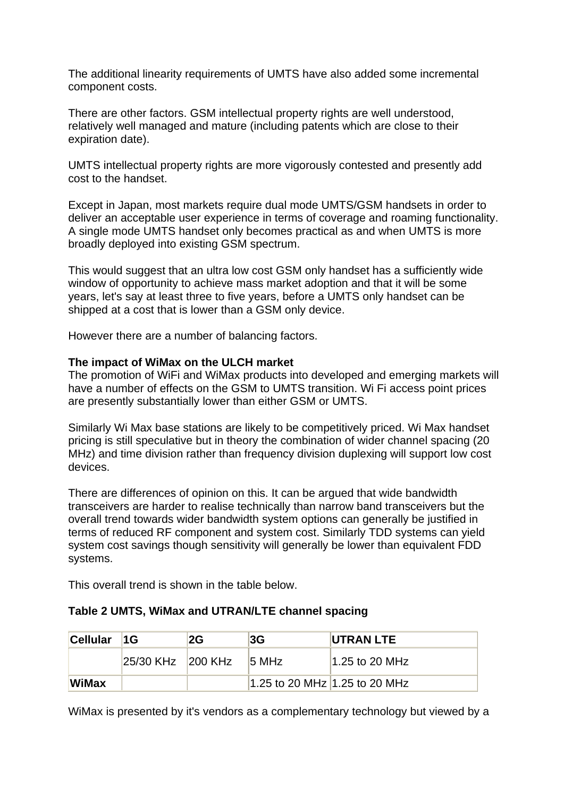The additional linearity requirements of UMTS have also added some incremental component costs.

There are other factors. GSM intellectual property rights are well understood, relatively well managed and mature (including patents which are close to their expiration date).

UMTS intellectual property rights are more vigorously contested and presently add cost to the handset.

Except in Japan, most markets require dual mode UMTS/GSM handsets in order to deliver an acceptable user experience in terms of coverage and roaming functionality. A single mode UMTS handset only becomes practical as and when UMTS is more broadly deployed into existing GSM spectrum.

This would suggest that an ultra low cost GSM only handset has a sufficiently wide window of opportunity to achieve mass market adoption and that it will be some years, let's say at least three to five years, before a UMTS only handset can be shipped at a cost that is lower than a GSM only device.

However there are a number of balancing factors.

## **The impact of WiMax on the ULCH market**

The promotion of WiFi and WiMax products into developed and emerging markets will have a number of effects on the GSM to UMTS transition. Wi Fi access point prices are presently substantially lower than either GSM or UMTS.

Similarly Wi Max base stations are likely to be competitively priced. Wi Max handset pricing is still speculative but in theory the combination of wider channel spacing (20 MHz) and time division rather than frequency division duplexing will support low cost devices.

There are differences of opinion on this. It can be argued that wide bandwidth transceivers are harder to realise technically than narrow band transceivers but the overall trend towards wider bandwidth system options can generally be justified in terms of reduced RF component and system cost. Similarly TDD systems can yield system cost savings though sensitivity will generally be lower than equivalent FDD systems.

This overall trend is shown in the table below.

|  |  |  | Table 2 UMTS, WiMax and UTRAN/LTE channel spacing |  |
|--|--|--|---------------------------------------------------|--|
|--|--|--|---------------------------------------------------|--|

| Cellular 1G  |                         | 2G | 3G                            | UTRAN LTE        |
|--------------|-------------------------|----|-------------------------------|------------------|
|              | $ 25/30$ KHz $ 200$ KHz |    | 15 MHz                        | $1.25$ to 20 MHz |
| <b>WiMax</b> |                         |    | 1.25 to 20 MHz 1.25 to 20 MHz |                  |

WiMax is presented by it's vendors as a complementary technology but viewed by a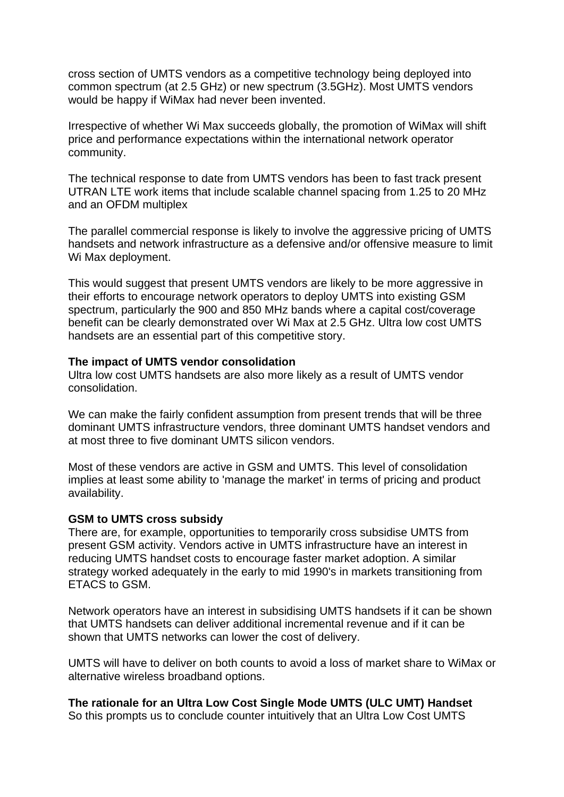cross section of UMTS vendors as a competitive technology being deployed into common spectrum (at 2.5 GHz) or new spectrum (3.5GHz). Most UMTS vendors would be happy if WiMax had never been invented.

Irrespective of whether Wi Max succeeds globally, the promotion of WiMax will shift price and performance expectations within the international network operator community.

The technical response to date from UMTS vendors has been to fast track present UTRAN LTE work items that include scalable channel spacing from 1.25 to 20 MHz and an OFDM multiplex

The parallel commercial response is likely to involve the aggressive pricing of UMTS handsets and network infrastructure as a defensive and/or offensive measure to limit Wi Max deployment.

This would suggest that present UMTS vendors are likely to be more aggressive in their efforts to encourage network operators to deploy UMTS into existing GSM spectrum, particularly the 900 and 850 MHz bands where a capital cost/coverage benefit can be clearly demonstrated over Wi Max at 2.5 GHz. Ultra low cost UMTS handsets are an essential part of this competitive story.

#### **The impact of UMTS vendor consolidation**

Ultra low cost UMTS handsets are also more likely as a result of UMTS vendor consolidation.

We can make the fairly confident assumption from present trends that will be three dominant UMTS infrastructure vendors, three dominant UMTS handset vendors and at most three to five dominant UMTS silicon vendors.

Most of these vendors are active in GSM and UMTS. This level of consolidation implies at least some ability to 'manage the market' in terms of pricing and product availability.

#### **GSM to UMTS cross subsidy**

There are, for example, opportunities to temporarily cross subsidise UMTS from present GSM activity. Vendors active in UMTS infrastructure have an interest in reducing UMTS handset costs to encourage faster market adoption. A similar strategy worked adequately in the early to mid 1990's in markets transitioning from ETACS to GSM.

Network operators have an interest in subsidising UMTS handsets if it can be shown that UMTS handsets can deliver additional incremental revenue and if it can be shown that UMTS networks can lower the cost of delivery.

UMTS will have to deliver on both counts to avoid a loss of market share to WiMax or alternative wireless broadband options.

# **The rationale for an Ultra Low Cost Single Mode UMTS (ULC UMT) Handset**

So this prompts us to conclude counter intuitively that an Ultra Low Cost UMTS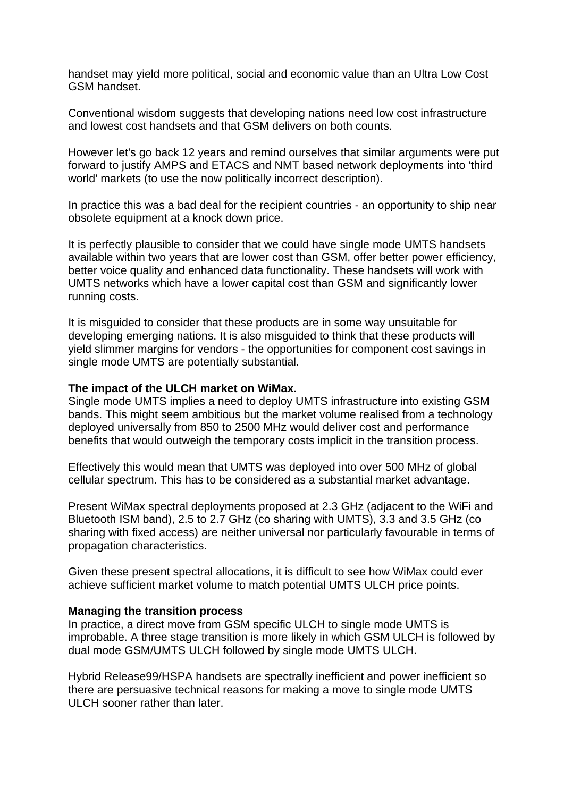handset may yield more political, social and economic value than an Ultra Low Cost GSM handset.

Conventional wisdom suggests that developing nations need low cost infrastructure and lowest cost handsets and that GSM delivers on both counts.

However let's go back 12 years and remind ourselves that similar arguments were put forward to justify AMPS and ETACS and NMT based network deployments into 'third world' markets (to use the now politically incorrect description).

In practice this was a bad deal for the recipient countries - an opportunity to ship near obsolete equipment at a knock down price.

It is perfectly plausible to consider that we could have single mode UMTS handsets available within two years that are lower cost than GSM, offer better power efficiency, better voice quality and enhanced data functionality. These handsets will work with UMTS networks which have a lower capital cost than GSM and significantly lower running costs.

It is misguided to consider that these products are in some way unsuitable for developing emerging nations. It is also misguided to think that these products will yield slimmer margins for vendors - the opportunities for component cost savings in single mode UMTS are potentially substantial.

## **The impact of the ULCH market on WiMax.**

Single mode UMTS implies a need to deploy UMTS infrastructure into existing GSM bands. This might seem ambitious but the market volume realised from a technology deployed universally from 850 to 2500 MHz would deliver cost and performance benefits that would outweigh the temporary costs implicit in the transition process.

Effectively this would mean that UMTS was deployed into over 500 MHz of global cellular spectrum. This has to be considered as a substantial market advantage.

Present WiMax spectral deployments proposed at 2.3 GHz (adjacent to the WiFi and Bluetooth ISM band), 2.5 to 2.7 GHz (co sharing with UMTS), 3.3 and 3.5 GHz (co sharing with fixed access) are neither universal nor particularly favourable in terms of propagation characteristics.

Given these present spectral allocations, it is difficult to see how WiMax could ever achieve sufficient market volume to match potential UMTS ULCH price points.

## **Managing the transition process**

In practice, a direct move from GSM specific ULCH to single mode UMTS is improbable. A three stage transition is more likely in which GSM ULCH is followed by dual mode GSM/UMTS ULCH followed by single mode UMTS ULCH.

Hybrid Release99/HSPA handsets are spectrally inefficient and power inefficient so there are persuasive technical reasons for making a move to single mode UMTS ULCH sooner rather than later.